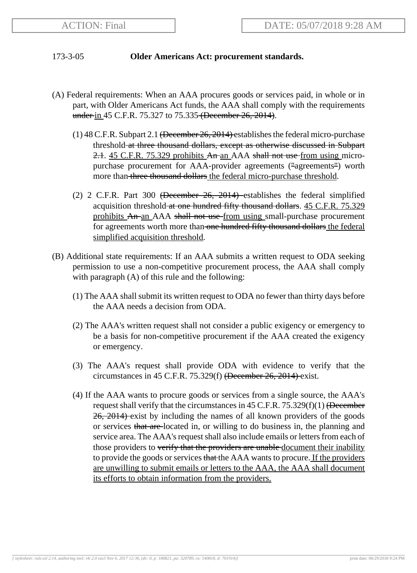## 173-3-05 **Older Americans Act: procurement standards.**

- (A) Federal requirements: When an AAA procures goods or services paid, in whole or in part, with Older Americans Act funds, the AAA shall comply with the requirements under in 45 C.F.R. 75.327 to 75.335 (December 26, 2014).
	- $(1)$  48 C.F.R. Subpart 2.1 <del>(December 26, 2014)</del> establishes the federal micro-purchase threshold at three thousand dollars, except as otherwise discussed in Subpart 2.1. 45 C.F.R. 75.329 prohibits An an AAA shall not use from using micropurchase procurement for AAA-provider agreements ("agreements") worth more than three thousand dollars the federal micro-purchase threshold.
	- (2) 2 C.F.R. Part 300 (December 26, 2014) establishes the federal simplified acquisition threshold at one hundred fifty thousand dollars. 45 C.F.R. 75.329 prohibits An an AAA shall not use from using small-purchase procurement for agreements worth more than one hundred fifty thousand dollars the federal simplified acquisition threshold.
- (B) Additional state requirements: If an AAA submits a written request to ODA seeking permission to use a non-competitive procurement process, the AAA shall comply with paragraph (A) of this rule and the following:
	- (1) The AAA shall submit its written request to ODA no fewer than thirty days before the AAA needs a decision from ODA.
	- (2) The AAA's written request shall not consider a public exigency or emergency to be a basis for non-competitive procurement if the AAA created the exigency or emergency.
	- (3) The AAA's request shall provide ODA with evidence to verify that the circumstances in 45 C.F.R. 75.329(f) (December 26, 2014) exist.
	- (4) If the AAA wants to procure goods or services from a single source, the AAA's request shall verify that the circumstances in  $45$  C.F.R.  $75.329(f)(1)$  (December 26, 2014) exist by including the names of all known providers of the goods or services that are located in, or willing to do business in, the planning and service area. The AAA's request shall also include emails or letters from each of those providers to verify that the providers are unable document their inability to provide the goods or services that the AAA wants to procure. If the providers are unwilling to submit emails or letters to the AAA, the AAA shall document its efforts to obtain information from the providers.